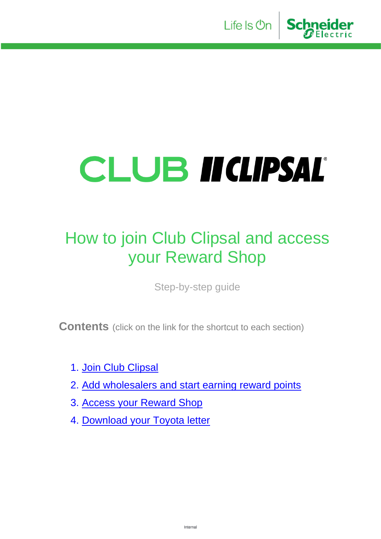

# CLUB II(LIPSAL®

## How to join Club Clipsal and access your Reward Shop

Step-by-step guide

**Contents** (click on the link for the shortcut to each section)

- 1. [Join Club Clipsal](#page-1-0)
- 2. [Add wholesalers and start earning reward points](#page-3-0)
- 3. [Access your Reward Shop](#page-6-0)
- 4. [Download your Toyota letter](#page-7-0)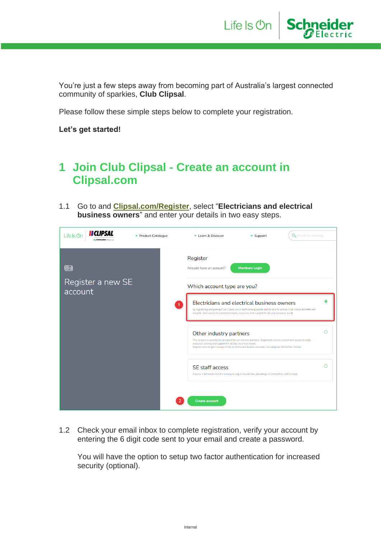

You're just a few steps away from becoming part of Australia's largest connected community of sparkies, **Club Clipsal**.

Please follow these simple steps below to complete your registration.

**Let's get started!**

#### <span id="page-1-0"></span>**1 Join Club Clipsal - Create an account in Clipsal.com**

1.1 Go to and **[Clipsal.com/Register](https://www.clipsal.com/register)**, select "**Electricians and electrical business owners**" and enter your details in two easy steps.



1.2 Check your email inbox to complete registration, verify your account by entering the 6 digit code sent to your email and create a password.

You will have the option to setup two factor authentication for increased security (optional).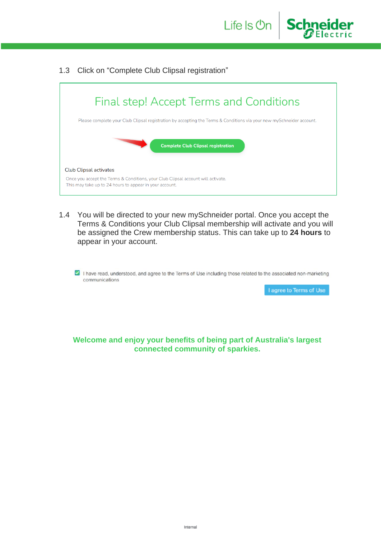1.3 Click on "Complete Club Clipsal registration"



Life Is **On** 

**Schneider** 

1.4 You will be directed to your new mySchneider portal. Once you accept the Terms & Conditions your Club Clipsal membership will activate and you will be assigned the Crew membership status. This can take up to **24 hours** to appear in your account.

I have read, understood, and agree to the Terms of Use including those related to the associated non-marketing communications

I agree to Terms of Use

**Welcome and enjoy your benefits of being part of Australia's largest connected community of sparkies.**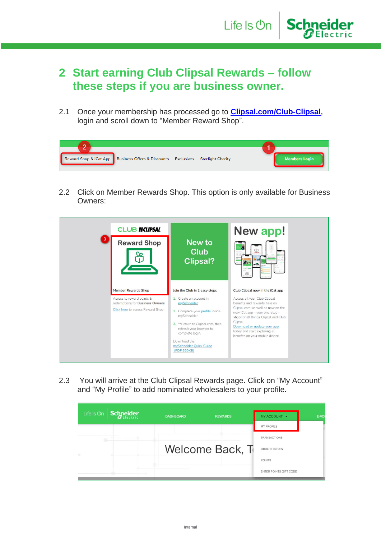#### <span id="page-3-0"></span>**2 Start earning Club Clipsal Rewards – follow these steps if you are business owner.**

**Schneider** 

Life Is On

2.1 Once your membership has processed go to **[Clipsal.com/Club-Clipsal,](https://www.clipsal.com/club-clipsal)** login and scroll down to "Member Reward Shop".

| $\mathbf{\mathcal{L}}$ |                                                                                 |  |                      |
|------------------------|---------------------------------------------------------------------------------|--|----------------------|
|                        | Reward Shop & iCat App Business Offers & Discounts Exclusives Starlight Charity |  | <b>Members Login</b> |

2.2 Click on Member Rewards Shop. This option is only available for Business Owners:



2.3 You will arrive at the Club Clipsal Rewards page. Click on "My Account" and "My Profile" to add nominated wholesalers to your profile.

| <b>Schneider</b><br>Life Is On | <b>DASHBOARD</b> | <b>REWARDS</b>  | MY ACCOUNT -           | E-VOI |
|--------------------------------|------------------|-----------------|------------------------|-------|
|                                |                  |                 | <b>MY PROFILE</b>      |       |
| BH-                            |                  |                 | <b>TRANSACTIONS</b>    |       |
|                                |                  | Welcome Back, T | ORDER HISTORY          |       |
|                                |                  |                 | <b>POINTS</b>          |       |
|                                |                  |                 | ENTER POINTS GIFT CODE |       |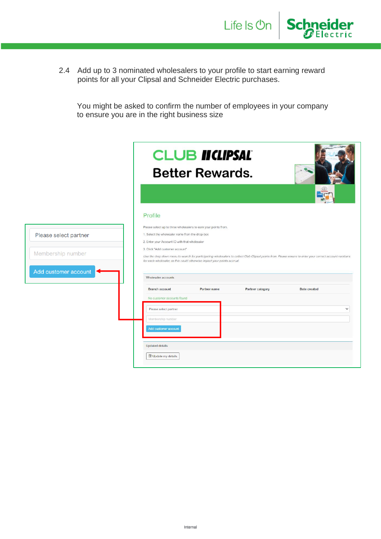

You might be asked to confirm the number of employees in your company to ensure you are in the right business size

Life Is On

**Schneider** 

|                       |                                                                                                                                                                     | <b>CLUB IICLIPSAL</b><br><b>Better Rewards.</b> |                  |                                                                                                                                                         |
|-----------------------|---------------------------------------------------------------------------------------------------------------------------------------------------------------------|-------------------------------------------------|------------------|---------------------------------------------------------------------------------------------------------------------------------------------------------|
|                       |                                                                                                                                                                     |                                                 |                  |                                                                                                                                                         |
|                       | Profile                                                                                                                                                             |                                                 |                  |                                                                                                                                                         |
| Please select partner | Please select up to three wholesalers to earn your points from.<br>1. Select the wholesaler name from the drop-box<br>2. Enter your Account ID with that wholesaler |                                                 |                  |                                                                                                                                                         |
| Membership number     | 3. Click "Add customer account"<br>for each wholesaler, as this could otherwise impact your points accrual.                                                         |                                                 |                  | Use the drop down menu to search for participating wholesalers to collect Club Clipsal points from. Please ensure to enter your correct account numbers |
| Add customer account  | Wholesaler accounts                                                                                                                                                 |                                                 |                  |                                                                                                                                                         |
|                       | <b>Branch account</b>                                                                                                                                               | <b>Partner name</b>                             | Partner category | Date created                                                                                                                                            |
|                       | No customer accounts found                                                                                                                                          |                                                 |                  |                                                                                                                                                         |
|                       | Please select partner                                                                                                                                               |                                                 |                  | $\checkmark$                                                                                                                                            |
|                       | Membership number                                                                                                                                                   |                                                 |                  |                                                                                                                                                         |
|                       | Add customer account                                                                                                                                                |                                                 |                  |                                                                                                                                                         |
|                       | <b>Updated details</b>                                                                                                                                              |                                                 |                  |                                                                                                                                                         |
|                       | Update my details                                                                                                                                                   |                                                 |                  |                                                                                                                                                         |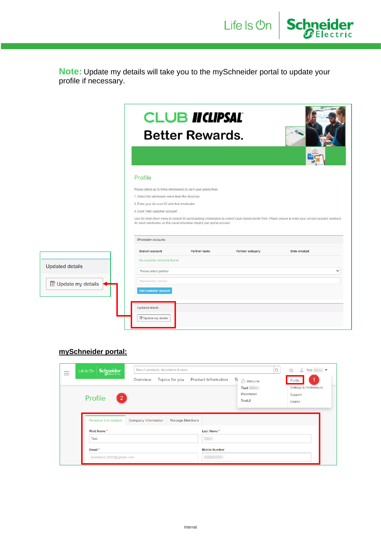**Note:** Update my details will take you to the mySchneider portal to update your profile if necessary.

Life Is On

**Schneider** 

|                            |                                                                                                  | <b>CLUB II CLIPSAL</b><br><b>Better Rewards.</b>                         |                  |                                                                                                                                                         |
|----------------------------|--------------------------------------------------------------------------------------------------|--------------------------------------------------------------------------|------------------|---------------------------------------------------------------------------------------------------------------------------------------------------------|
|                            |                                                                                                  |                                                                          |                  |                                                                                                                                                         |
|                            | Profile                                                                                          |                                                                          |                  |                                                                                                                                                         |
|                            | Please select up to three wholesalers to earn your points from.                                  |                                                                          |                  |                                                                                                                                                         |
|                            | 1. Select the wholesaler name from the drop-box<br>2. Enter your Account ID with that wholesaler |                                                                          |                  |                                                                                                                                                         |
|                            | 3. Click "Add customer account"                                                                  |                                                                          |                  |                                                                                                                                                         |
|                            |                                                                                                  | for each wholesaler, as this could otherwise impact your points accrual. |                  | Use the drop down menu to search for participating wholesalers to collect Club Clipsal points from. Please ensure to enter your correct account numbers |
|                            | Wholesaler accounts                                                                              |                                                                          |                  |                                                                                                                                                         |
|                            | <b>Branch account</b>                                                                            | <b>Partner name</b>                                                      | Partner category | Date created                                                                                                                                            |
|                            | No customer accounts found                                                                       |                                                                          |                  |                                                                                                                                                         |
| <b>Updated details</b>     | Please select partner                                                                            |                                                                          |                  | $\check{ }$                                                                                                                                             |
| <b>y</b> Update my details | Membership number                                                                                |                                                                          |                  |                                                                                                                                                         |
|                            | Add customer account                                                                             |                                                                          |                  |                                                                                                                                                         |
|                            | Updated details                                                                                  |                                                                          |                  |                                                                                                                                                         |
|                            |                                                                                                  |                                                                          |                  |                                                                                                                                                         |
|                            | Update my details                                                                                |                                                                          |                  |                                                                                                                                                         |

#### **mySchneider portal:**

| <b>Schneider</b><br>Life Is On | Search products, documents & more<br>Overview | Topics for you        | <b>Product Information</b><br>Tr | A Welcome                     | Q | ☆<br>Δ<br><b>Test</b><br>Profile            |
|--------------------------------|-----------------------------------------------|-----------------------|----------------------------------|-------------------------------|---|---------------------------------------------|
| Profile<br>$\mathbf{2}$        |                                               |                       |                                  | Test<br>Electrician<br>TestLX |   | Settings & Preferences<br>Support<br>Logout |
| Personal Information           | Company Information                           | <b>Manage Members</b> |                                  |                               |   |                                             |
| First Name*                    |                                               |                       | Last Name*                       |                               |   |                                             |
| <b>Test</b>                    |                                               |                       |                                  |                               |   |                                             |
| Email*                         |                                               |                       | <b>Mobile Number</b>             |                               |   |                                             |
| testelece.2022@gmail.com       |                                               |                       |                                  |                               |   |                                             |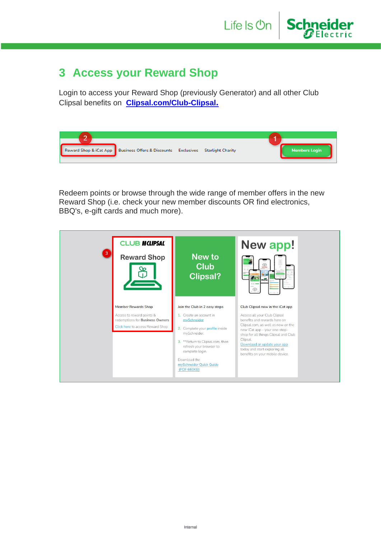**Schneider** 

### <span id="page-6-0"></span>**3 Access your Reward Shop**

Login to access your Reward Shop (previously Generator) and all other Club Clipsal benefits on **[Clipsal.com/Club-Clipsal](https://www.clipsal.com/club-clipsal)[.](https://www.clipsal.com/club-clipsal)**

| $\overline{ }$ |                                                                                 |  |                      |
|----------------|---------------------------------------------------------------------------------|--|----------------------|
|                | Reward Shop & iCat App Business Offers & Discounts Exclusives Starlight Charity |  | <b>Members Login</b> |
|                |                                                                                 |  |                      |

Redeem points or browse through the wide range of member offers in the new Reward Shop (i.e. check your new member discounts OR find electronics, BBQ's, e-gift cards and much more).

| <b>CLUB II CLIPSAL</b><br>$\vert 3 \vert$<br><b>Reward Shop</b>                                                                | New to<br><b>Club</b><br><b>Clipsal?</b>                                                                                                                                                                                                                                | New app!<br>$\bigoplus_{\text{rovcit}}$<br>$u_0$ 22<br>$\circledcirc$                                                                                                                                                                                                                                                          |
|--------------------------------------------------------------------------------------------------------------------------------|-------------------------------------------------------------------------------------------------------------------------------------------------------------------------------------------------------------------------------------------------------------------------|--------------------------------------------------------------------------------------------------------------------------------------------------------------------------------------------------------------------------------------------------------------------------------------------------------------------------------|
| <b>Member Rewards Shop</b><br>Access to reward points &<br>redemptions for Business Owners<br>Click here to access Reward Shop | Join the Club in 2 easy steps<br>1. Create an account in<br>mySchneider<br>2. Complete your profile inside<br>mySchneider.<br>3. ** Return to Clipsal.com, then<br>refresh your browser to<br>complete login.<br>Download the<br>mySchneider Quick Guide<br>(PDF 660KB) | Club Clipsal now in the iCat app<br>Access all your Club Clipsal<br>benefits and rewards here on<br>Clipsal.com, as well as now on the<br>new iCat app - your one-stop-<br>shop for all things Clipsal and Club<br>Clipsal.<br>Download or update your app<br>today and start exploring all<br>benefits on your mobile device. |